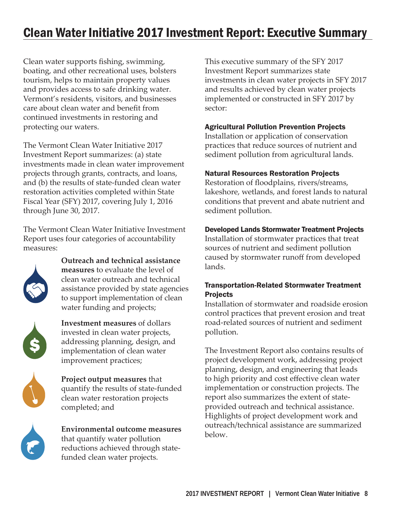# Clean Water Initiative 2017 Investment Report: Executive Summary

Clean water supports fishing, swimming, boating, and other recreational uses, bolsters tourism, helps to maintain property values and provides access to safe drinking water. Vermont's residents, visitors, and businesses care about clean water and benefit from continued investments in restoring and protecting our waters.

The Vermont Clean Water Initiative 2017 Investment Report summarizes: (a) state investments made in clean water improvement projects through grants, contracts, and loans, and (b) the results of state-funded clean water restoration activities completed within State Fiscal Year (SFY) 2017, covering July 1, 2016 through June 30, 2017.

The Vermont Clean Water Initiative Investment Report uses four categories of accountability measures:



**Outreach and technical assistance measures** to evaluate the level of clean water outreach and technical assistance provided by state agencies to support implementation of clean water funding and projects;



**Investment measures** of dollars invested in clean water projects, addressing planning, design, and implementation of clean water improvement practices;



**Project output measures** that quantify the results of state-funded clean water restoration projects completed; and



**Environmental outcome measures** that quantify water pollution reductions achieved through statefunded clean water projects.

This executive summary of the SFY 2017 Investment Report summarizes state investments in clean water projects in SFY 2017 and results achieved by clean water projects implemented or constructed in SFY 2017 by sector:

## Agricultural Pollution Prevention Projects

Installation or application of conservation practices that reduce sources of nutrient and sediment pollution from agricultural lands.

### Natural Resources Restoration Projects

Restoration of floodplains, rivers/streams, lakeshore, wetlands, and forest lands to natural conditions that prevent and abate nutrient and sediment pollution.

### Developed Lands Stormwater Treatment Projects

Installation of stormwater practices that treat sources of nutrient and sediment pollution caused by stormwater runoff from developed lands.

# Transportation-Related Stormwater Treatment Projects

Installation of stormwater and roadside erosion control practices that prevent erosion and treat road-related sources of nutrient and sediment pollution.

The Investment Report also contains results of project development work, addressing project planning, design, and engineering that leads to high priority and cost effective clean water implementation or construction projects. The report also summarizes the extent of stateprovided outreach and technical assistance. Highlights of project development work and outreach/technical assistance are summarized below.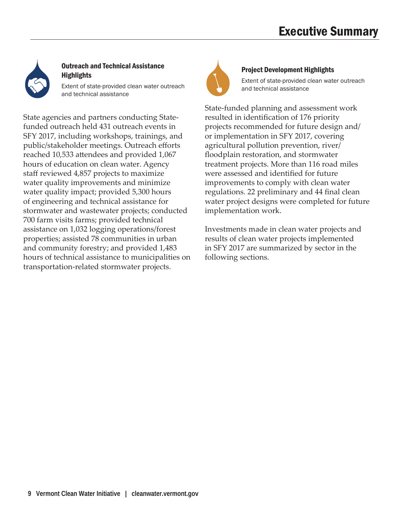

# Outreach and Technical Assistance **Highlights**

Extent of state-provided clean water outreach and technical assistance

State agencies and partners conducting Statefunded outreach held 431 outreach events in SFY 2017, including workshops, trainings, and public/stakeholder meetings. Outreach efforts reached 10,533 attendees and provided 1,067 hours of education on clean water. Agency staff reviewed 4,857 projects to maximize water quality improvements and minimize water quality impact; provided 5,300 hours of engineering and technical assistance for stormwater and wastewater projects; conducted 700 farm visits farms; provided technical assistance on 1,032 logging operations/forest properties; assisted 78 communities in urban and community forestry; and provided 1,483 hours of technical assistance to municipalities on transportation-related stormwater projects.



## Project Development Highlights

Extent of state-provided clean water outreach and technical assistance

State-funded planning and assessment work resulted in identification of 176 priority projects recommended for future design and/ or implementation in SFY 2017, covering agricultural pollution prevention, river/ floodplain restoration, and stormwater treatment projects. More than 116 road miles were assessed and identified for future improvements to comply with clean water regulations. 22 preliminary and 44 final clean water project designs were completed for future implementation work.

Investments made in clean water projects and results of clean water projects implemented in SFY 2017 are summarized by sector in the following sections.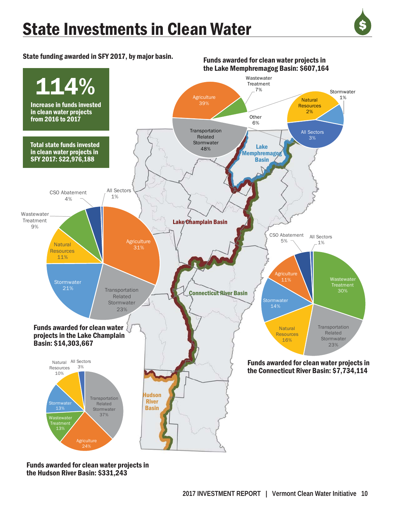# State Investments in Clean Water



State funding awarded in SFY 2017, by major basin.



Funds awarded for clean water projects in the Hudson River Basin: \$331,243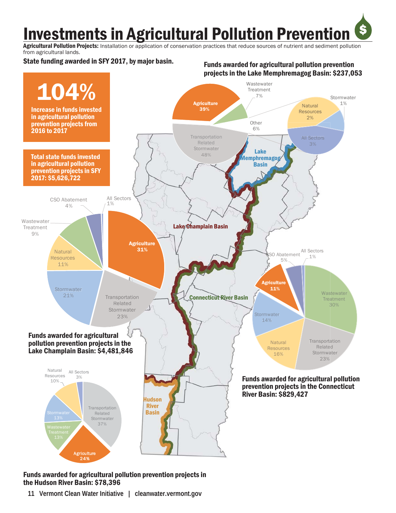**Investments in Agricultural Pollution Prevention** 

Agricultural Pollution Projects: Installation or application of conservation practices that reduce sources of nutrient and sediment pollution from agricultural lands.

State funding awarded in SFY 2017, by major basin.

### Funds awarded for agricultural pollution prevention projects in the Lake Memphremagog Basin: \$237,053

\$



### Funds awarded for agricultural pollution prevention projects in the Hudson River Basin: \$78,396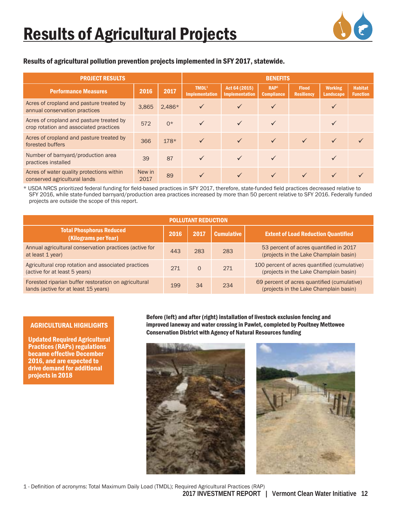

## Results of agricultural pollution prevention projects implemented in SFY 2017, statewide.

| <b>PROJECT RESULTS</b>                                                             | <b>BENEFITS</b> |          |                                            |                                        |                                       |                                   |                                    |                                   |
|------------------------------------------------------------------------------------|-----------------|----------|--------------------------------------------|----------------------------------------|---------------------------------------|-----------------------------------|------------------------------------|-----------------------------------|
| <b>Performance Measures</b>                                                        | 2016            | 2017     | TMDL <sup>1</sup><br><b>Implementation</b> | Act 64 (2015)<br><b>Implementation</b> | RAP <sup>1</sup><br><b>Compliance</b> | <b>Flood</b><br><b>Resiliency</b> | <b>Working</b><br><b>Landscape</b> | <b>Habitat</b><br><b>Function</b> |
| Acres of cropland and pasture treated by<br>annual conservation practices          | 3,865           | $2,486*$ | $\checkmark$                               | ✓                                      | ✓                                     |                                   | $\checkmark$                       |                                   |
| Acres of cropland and pasture treated by<br>crop rotation and associated practices | 572             | $0*$     | $\checkmark$                               | $\checkmark$                           | $\checkmark$                          |                                   |                                    |                                   |
| Acres of cropland and pasture treated by<br>forested buffers                       | 366             | $178*$   | $\checkmark$                               | $\checkmark$                           | $\checkmark$                          |                                   | $\checkmark$                       |                                   |
| Number of barnyard/production area<br>practices installed                          | 39              | 87       | $\checkmark$                               | $\checkmark$                           | $\checkmark$                          |                                   |                                    |                                   |
| Acres of water quality protections within<br>conserved agricultural lands          | New in<br>2017  | 89       | $\sqrt{}$                                  |                                        |                                       |                                   |                                    |                                   |

\* USDA NRCS prioritized federal funding for field-based practices in SFY 2017, therefore, state-funded field practices decreased relative to SFY 2016, while state-funded barnyard/production area practices increased by more than 50 percent relative to SFY 2016. Federally funded projects are outside the scope of this report.

| <b>POLLUTANT REDUCTION</b>                                                                   |      |          |                   |                                                                                        |  |  |  |  |  |
|----------------------------------------------------------------------------------------------|------|----------|-------------------|----------------------------------------------------------------------------------------|--|--|--|--|--|
| <b>Total Phosphorus Reduced</b><br>(Kilograms per Year)                                      | 2016 | 2017     | <b>Cumulative</b> | <b>Extent of Load Reduction Quantified</b>                                             |  |  |  |  |  |
| Annual agricultural conservation practices (active for<br>at least 1 year)                   | 443  | 283      | 283               | 53 percent of acres quantified in 2017<br>(projects in the Lake Champlain basin)       |  |  |  |  |  |
| Agricultural crop rotation and associated practices<br>(active for at least 5 years)         | 271  | $\Omega$ | 271               | 100 percent of acres quantified (cumulative)<br>(projects in the Lake Champlain basin) |  |  |  |  |  |
| Forested riparian buffer restoration on agricultural<br>lands (active for at least 15 years) | 199  | 34       | 234               | 69 percent of acres quantified (cumulative)<br>(projects in the Lake Champlain basin)  |  |  |  |  |  |

### AGRICULTURAL HIGHLIGHTS

Updated Required Agricultural Practices (RAPs) regulations became effective December 2016, and are expected to drive demand for additional projects in 2018

Before (left) and after (right) installation of livestock exclusion fencing and improved laneway and water crossing in Pawlet, completed by Poultney Mettowee Conservation District with Agency of Natural Resources funding





1 - Definition of acronyms: Total Maximum Daily Load (TMDL); Required Agricultural Practices (RAP)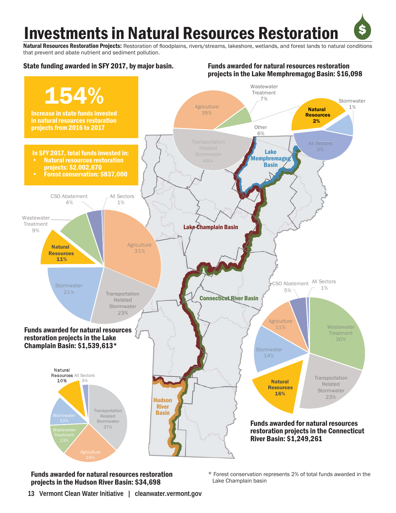# **Investments in Natural Resources Restoration**

Natural Resources Restoration Projects: Restoration of floodplains, rivers/streams, lakeshore, wetlands, and forest lands to natural conditions that prevent and abate nutrient and sediment pollution.



Funds awarded for natural resources restoration projects in the Hudson River Basin: \$34,698

\* Forest conservation represents 2% of total funds awarded in the Lake Champlain basin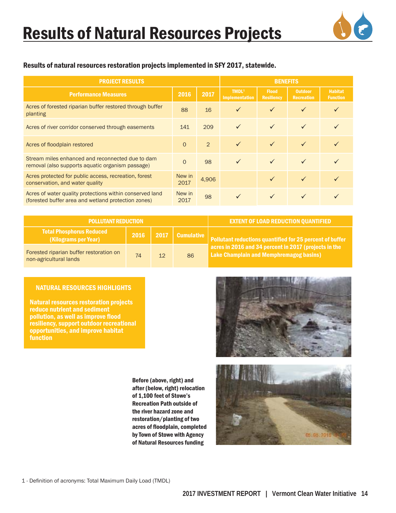# Results of Natural Resources Projects



### Results of natural resources restoration projects implemented in SFY 2017, statewide.

| <b>PROJECT RESULTS</b>                                                                                          | <b>BENEFITS</b> |       |                                            |                                   |                                     |                                   |
|-----------------------------------------------------------------------------------------------------------------|-----------------|-------|--------------------------------------------|-----------------------------------|-------------------------------------|-----------------------------------|
| <b>Performance Measures</b>                                                                                     | 2016            | 2017  | TMDL <sup>1</sup><br><b>Implementation</b> | <b>Flood</b><br><b>Resiliency</b> | <b>Outdoor</b><br><b>Recreation</b> | <b>Habitat</b><br><b>Function</b> |
| Acres of forested riparian buffer restored through buffer<br>planting                                           | 88              | 16    | $\checkmark$                               | $\checkmark$                      | $\checkmark$                        |                                   |
| Acres of river corridor conserved through easements                                                             | 141             | 209   | $\checkmark$                               | $\checkmark$                      | $\checkmark$                        |                                   |
| Acres of floodplain restored                                                                                    | $\overline{0}$  | 2     | $\checkmark$                               | $\checkmark$                      | $\checkmark$                        |                                   |
| Stream miles enhanced and reconnected due to dam<br>removal (also supports aquatic organism passage)            | $\Omega$        | 98    | $\checkmark$                               | $\checkmark$                      | $\checkmark$                        |                                   |
| Acres protected for public access, recreation, forest<br>conservation, and water quality                        | New in<br>2017  | 4,906 |                                            | ✓                                 | $\checkmark$                        |                                   |
| Acres of water quality protections within conserved land<br>(forested buffer area and wetland protection zones) | New in<br>2017  | 98    | $\checkmark$                               | $\checkmark$                      |                                     |                                   |

| <b>POLLUTANT REDUCTION</b>                                        |      | <b>EXTENT OF LOAD REDUCTION QUANTIFIED</b> |                   |                                                                                                         |
|-------------------------------------------------------------------|------|--------------------------------------------|-------------------|---------------------------------------------------------------------------------------------------------|
| <b>Total Phosphorus Reduced</b><br>(Kilograms per Year)           | 2016 |                                            | 2017   Cumulative | Pollutant reductions quantified for 25 percent of buffer                                                |
| Forested riparian buffer restoration on<br>non-agricultural lands | 74   | 12 <sup>°</sup>                            | 86                | acres in 2016 and 34 percent in 2017 (projects in the<br><b>Lake Champlain and Memphremagog basins)</b> |

#### NATURAL RESOURCES HIGHLIGHTS

Natural resources restoration projects reduce nutrient and sediment pollution, as well as improve flood resiliency, support outdoor recreational opportunities, and improve habitat function

Before (above, right) and after (below, right) relocation of 1,100 feet of Stowe's Recreation Path outside of the river hazard zone and restoration/planting of two acres of floodplain, completed by Town of Stowe with Agency of Natural Resources funding

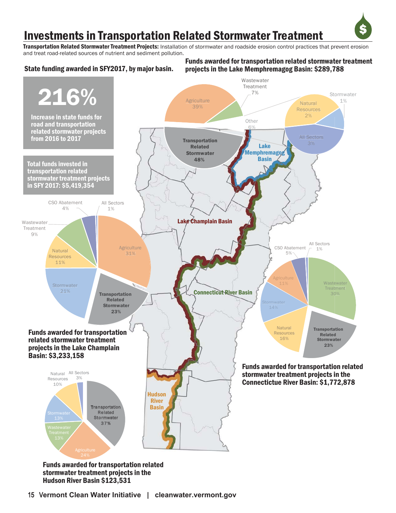# Investments in Transportation Related Stormwater Treatment

Transportation Related Stormwater Treatment Projects: Installation of stormwater and roadside erosion control practices that prevent erosion and treat road-related sources of nutrient and sediment pollution.

# State funding awarded in SFY2017, by major basin.

#### Funds awarded for transportation related stormwater treatment projects in the Lake Memphremagog Basin: \$289,788

\$



Funds awarded for transportation related stormwater treatment projects in the Hudson River Basin \$123,531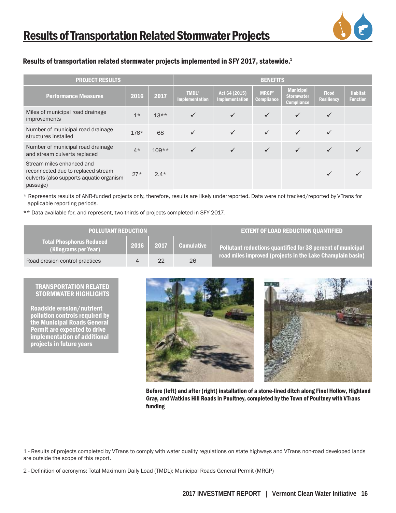

### Results of transportation related stormwater projects implemented in SFY 2017, statewide.1

| <b>PROJECT RESULTS</b>                                                                                                  |        |         |                                            |                                 | <b>BENEFITS</b>                        |                                                            |                                   |                                   |  |  |  |  |
|-------------------------------------------------------------------------------------------------------------------------|--------|---------|--------------------------------------------|---------------------------------|----------------------------------------|------------------------------------------------------------|-----------------------------------|-----------------------------------|--|--|--|--|
| <b>Performance Measures</b>                                                                                             | 2016   | 2017    | TMDL <sup>2</sup><br><b>Implementation</b> | Act 64 (2015)<br>Implementation | MRGP <sup>2</sup><br><b>Compliance</b> | <b>Municipal</b><br><b>Stormwater</b><br><b>Compliance</b> | <b>Flood</b><br><b>Resiliency</b> | <b>Habitat</b><br><b>Function</b> |  |  |  |  |
| Miles of municipal road drainage<br>improvements                                                                        | $1*$   | $13**$  | $\checkmark$                               | $\checkmark$                    | $\checkmark$                           | $\checkmark$                                               | ✓                                 |                                   |  |  |  |  |
| Number of municipal road drainage<br>structures installed                                                               | $176*$ | 68      | ✓                                          | $\checkmark$                    | $\checkmark$                           | $\checkmark$                                               | ✓                                 |                                   |  |  |  |  |
| Number of municipal road drainage<br>and stream culverts replaced                                                       | $4*$   | $109**$ | $\checkmark$                               | $\checkmark$                    | $\checkmark$                           | $\checkmark$                                               | $\checkmark$                      |                                   |  |  |  |  |
| Stream miles enhanced and<br>reconnected due to replaced stream<br>culverts (also supports aquatic organism<br>passage) | $27*$  | $2.4*$  |                                            |                                 |                                        |                                                            |                                   |                                   |  |  |  |  |

\* Represents results of ANR-funded projects only, therefore, results are likely underreported. Data were not tracked/reported by VTrans for applicable reporting periods.

\*\* Data available for, and represent, two-thirds of projects completed in SFY 2017.

| <b>POLLUTANT REDUCTION</b>                              |      | <b>EXTENT OF LOAD REDUCTION OUANTIFIED</b> |            |                                                             |
|---------------------------------------------------------|------|--------------------------------------------|------------|-------------------------------------------------------------|
| <b>Total Phosphorus Reduced</b><br>(Kilograms per Year) | 2016 | $\sim$ 2017 $\sim$                         | Cumulative | Pollutant reductions quantified for 38 percent of municipal |
| Road erosion control practices                          |      | 22                                         | 26         | road miles improved (projects in the Lake Champlain basin)  |

#### TRANSPORTATION RELATED STORMWATER HIGHLIGHTS

Roadside erosion/nutrient pollution controls required by the Municipal Roads General Permit are expected to drive implementation of additional projects in future years



Before (left) and after (right) installation of a stone-lined ditch along Finel Hollow, Highland Gray, and Watkins Hill Roads in Poultney, completed by the Town of Poultney with VTrans funding

1 - Results of projects completed by VTrans to comply with water quality regulations on state highways and VTrans non-road developed lands are outside the scope of this report.

2 - Definition of acronyms: Total Maximum Daily Load (TMDL); Municipal Roads General Permit (MRGP)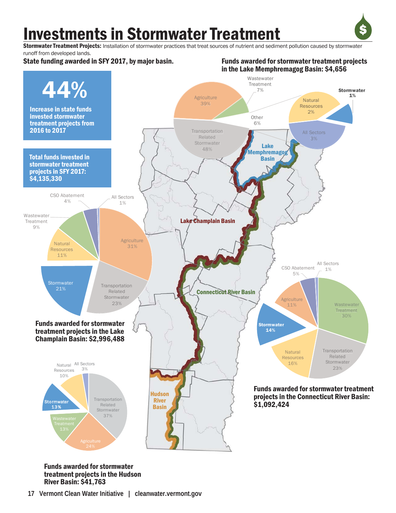# Investments in Stormwater Treatment



Funds awarded for stormwater treatment projects

Stormwater Treatment Projects: Installation of stormwater practices that treat sources of nutrient and sediment pollution caused by stormwater runoff from developed lands.

State funding awarded in SFY 2017, by major basin.



Funds awarded for stormwater treatment projects in the Hudson River Basin: \$41,763